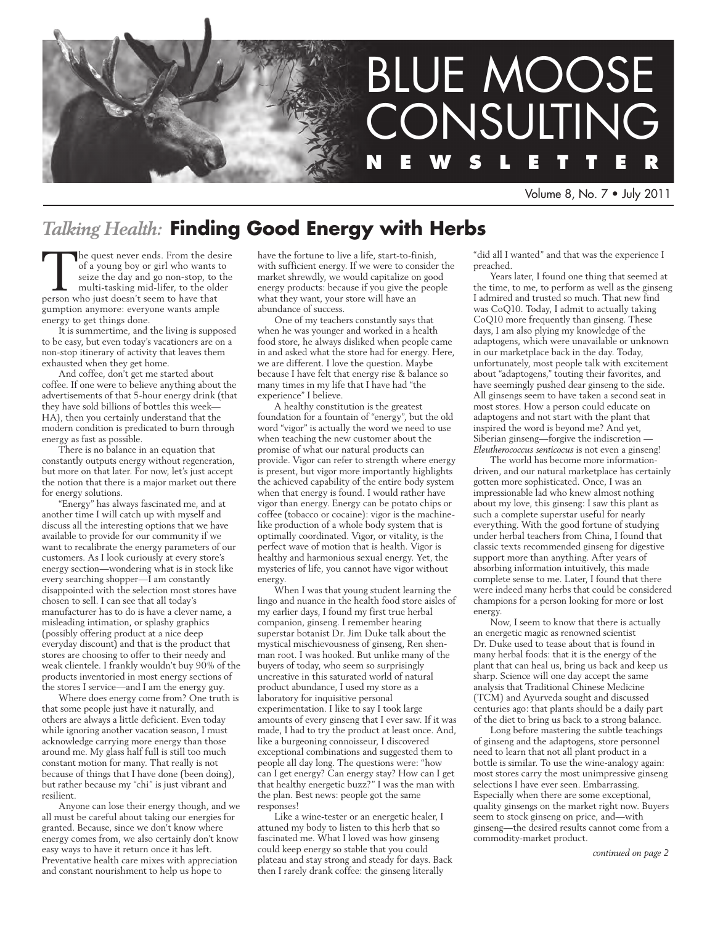

Volume 8, No. 7 • July 2011

## *Talking Health:* **Finding Good Energy with Herbs**

The quest never ends. From the desire of a young boy or girl who wants to seize the day and go non-stop, to the multi-tasking mid-lifer, to the older person who just doesn't seem to have that gumption anymore: everyone wants ample energy to get things done.

It is summertime, and the living is supposed to be easy, but even today's vacationers are on a non-stop itinerary of activity that leaves them exhausted when they get home.

And coffee, don't get me started about coffee. If one were to believe anything about the advertisements of that 5-hour energy drink (that they have sold billions of bottles this week— HA), then you certainly understand that the modern condition is predicated to burn through energy as fast as possible.

There is no balance in an equation that constantly outputs energy without regeneration, but more on that later. For now, let's just accept the notion that there is a major market out there for energy solutions.

"Energy" has always fascinated me, and at another time I will catch up with myself and discuss all the interesting options that we have available to provide for our community if we want to recalibrate the energy parameters of our customers. As I look curiously at every store's energy section—wondering what is in stock like every searching shopper—I am constantly disappointed with the selection most stores have chosen to sell. I can see that all today's manufacturer has to do is have a clever name, a misleading intimation, or splashy graphics (possibly offering product at a nice deep everyday discount) and that is the product that stores are choosing to offer to their needy and weak clientele. I frankly wouldn't buy 90% of the products inventoried in most energy sections of the stores I service—and I am the energy guy.

Where does energy come from? One truth is that some people just have it naturally, and others are always a little deficient. Even today while ignoring another vacation season, I must acknowledge carrying more energy than those around me. My glass half full is still too much constant motion for many. That really is not because of things that I have done (been doing), but rather because my "chi" is just vibrant and resilient.

Anyone can lose their energy though, and we all must be careful about taking our energies for granted. Because, since we don't know where energy comes from, we also certainly don't know easy ways to have it return once it has left. Preventative health care mixes with appreciation and constant nourishment to help us hope to

have the fortune to live a life, start-to-finish, with sufficient energy. If we were to consider the market shrewdly, we would capitalize on good energy products: because if you give the people what they want, your store will have an abundance of success.

One of my teachers constantly says that when he was younger and worked in a health food store, he always disliked when people came in and asked what the store had for energy. Here, we are different. I love the question. Maybe because I have felt that energy rise & balance so many times in my life that I have had "the experience" I believe.

A healthy constitution is the greatest foundation for a fountain of "energy", but the old word "vigor" is actually the word we need to use when teaching the new customer about the promise of what our natural products can provide. Vigor can refer to strength where energy is present, but vigor more importantly highlights the achieved capability of the entire body system when that energy is found. I would rather have vigor than energy. Energy can be potato chips or coffee (tobacco or cocaine): vigor is the machinelike production of a whole body system that is optimally coordinated. Vigor, or vitality, is the perfect wave of motion that is health. Vigor is healthy and harmonious sexual energy. Yet, the mysteries of life, you cannot have vigor without energy.

When I was that young student learning the lingo and nuance in the health food store aisles of my earlier days, I found my first true herbal companion, ginseng. I remember hearing superstar botanist Dr. Jim Duke talk about the mystical mischievousness of ginseng, Ren shenman root. I was hooked. But unlike many of the buyers of today, who seem so surprisingly uncreative in this saturated world of natural product abundance, I used my store as a laboratory for inquisitive personal experimentation. I like to say I took large amounts of every ginseng that I ever saw. If it was made, I had to try the product at least once. And, like a burgeoning connoisseur, I discovered exceptional combinations and suggested them to people all day long. The questions were: "how can I get energy? Can energy stay? How can I get that healthy energetic buzz?" I was the man with the plan. Best news: people got the same responses!

Like a wine-tester or an energetic healer, I attuned my body to listen to this herb that so fascinated me. What I loved was how ginseng could keep energy so stable that you could plateau and stay strong and steady for days. Back then I rarely drank coffee: the ginseng literally

"did all I wanted" and that was the experience I preached.

Years later, I found one thing that seemed at the time, to me, to perform as well as the ginseng I admired and trusted so much. That new find was CoQ10. Today, I admit to actually taking CoQ10 more frequently than ginseng. These days, I am also plying my knowledge of the adaptogens, which were unavailable or unknown in our marketplace back in the day. Today, unfortunately, most people talk with excitement about "adaptogens," touting their favorites, and have seemingly pushed dear ginseng to the side. All ginsengs seem to have taken a second seat in most stores. How a person could educate on adaptogens and not start with the plant that inspired the word is beyond me? And yet, Siberian ginseng—forgive the indiscretion -*Eleutherococcus senticocus* is not even a ginseng!

The world has become more informationdriven, and our natural marketplace has certainly gotten more sophisticated. Once, I was an impressionable lad who knew almost nothing about my love, this ginseng: I saw this plant as such a complete superstar useful for nearly everything. With the good fortune of studying under herbal teachers from China, I found that classic texts recommended ginseng for digestive support more than anything. After years of absorbing information intuitively, this made complete sense to me. Later, I found that there were indeed many herbs that could be considered champions for a person looking for more or lost energy.

Now, I seem to know that there is actually an energetic magic as renowned scientist Dr. Duke used to tease about that is found in many herbal foods: that it is the energy of the plant that can heal us, bring us back and keep us sharp. Science will one day accept the same analysis that Traditional Chinese Medicine (TCM) and Ayurveda sought and discussed centuries ago: that plants should be a daily part of the diet to bring us back to a strong balance.

Long before mastering the subtle teachings of ginseng and the adaptogens, store personnel need to learn that not all plant product in a bottle is similar. To use the wine-analogy again: most stores carry the most unimpressive ginseng selections I have ever seen. Embarrassing. Especially when there are some exceptional, quality ginsengs on the market right now. Buyers seem to stock ginseng on price, and—with ginseng—the desired results cannot come from a commodity-market product.

*continued on page 2*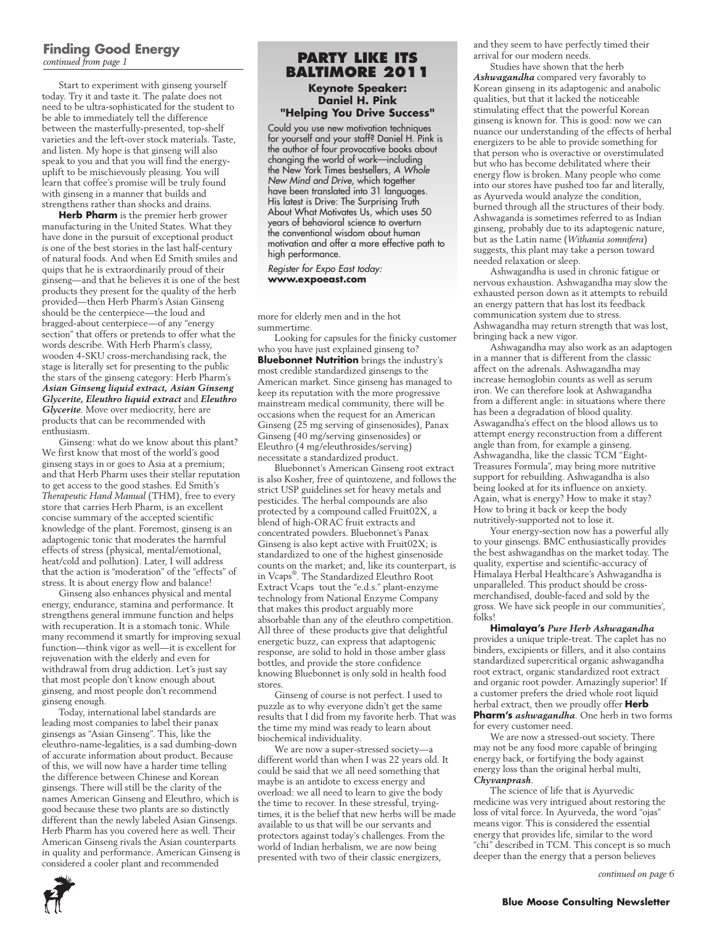### **Finding Good Energy** *continued from page 1*

Start to experiment with ginseng yourself today. Try it and taste it. The palate does not need to be ultra-sophisticated for the student to be able to immediately tell the difference between the masterfully-presented, top-shelf varieties and the left-over stock materials. Taste, and listen. My hope is that ginseng will also speak to you and that you will find the energyuplift to be mischievously pleasing. You will learn that coffee's promise will be truly found with ginseng in a manner that builds and strengthens rather than shocks and drains.

**Herb Pharm** is the premier herb grower manufacturing in the United States. What they have done in the pursuit of exceptional product is one of the best stories in the last half-century of natural foods. And when Ed Smith smiles and quips that he is extraordinarily proud of their ginseng—and that he believes it is one of the best products they present for the quality of the herb provided—then Herb Pharm's Asian Ginseng should be the centerpiece—the loud and bragged-about centerpiece—of any "energy section" that offers or pretends to offer what the words describe. With Herb Pharm's classy, wooden 4-SKU cross-merchandising rack, the stage is literally set for presenting to the public the stars of the ginseng category: Herb Pharm's *Asian Ginseng liquid extract, Asian Ginseng Glycerite, Eleuthro liquid extract* and *Eleuthro Glycerite*. Move over mediocrity, here are products that can be recommended with enthusiasm.

Ginseng: what do we know about this plant? We first know that most of the world's good ginseng stays in or goes to Asia at a premium; and that Herb Pharm uses their stellar reputation to get access to the good stashes. Ed Smith's *Therapeutic Hand Manual* (THM), free to every store that carries Herb Pharm, is an excellent concise summary of the accepted scientific knowledge of the plant. Foremost, ginseng is an adaptogenic tonic that moderates the harmful effects of stress (physical, mental/emotional, heat/cold and pollution). Later, I will address that the action is "moderation" of the "effects" of stress. It is about energy flow and balance!

Ginseng also enhances physical and mental energy, endurance, stamina and performance. It strengthens general immune function and helps with recuperation. It is a stomach tonic. While many recommend it smartly for improving sexual function—think vigor as well—it is excellent for rejuvenation with the elderly and even for withdrawal from drug addiction. Let's just say that most people don't know enough about ginseng, and most people don't recommend ginseng enough.

Today, international label standards are leading most companies to label their panax ginsengs as "Asian Ginseng". This, like the eleuthro-name-legalities, is a sad dumbing-down of accurate information about product. Because of this, we will now have a harder time telling the difference between Chinese and Korean ginsengs. There will still be the clarity of the names American Ginseng and Eleuthro, which is good because these two plants are so distinctly different than the newly labeled Asian Ginsengs. Herb Pharm has you covered here as well. Their American Ginseng rivals the Asian counterparts in quality and performance. American Ginseng is considered a cooler plant and recommended

### **Party like its Baltimore 2011 Keynote Speaker: Daniel H. Pink "Helping You Drive Success"**

Could you use new motivation techniques for yourself and your staff? Daniel H. Pink is the author of four provocative books about changing the world of work—including the New York Times bestsellers, *A Whole New Mind and Drive*, which together have been translated into 31 languages. His latest is Drive: The Surprising Truth About What Motivates Us, which uses 50 years of behavioral science to overturn the conventional wisdom about human motivation and offer a more effective path to high performance.

*Register for Expo East today:* **www.expoeast.com**

more for elderly men and in the hot summertime.

Looking for capsules for the finicky customer who you have just explained ginseng to? **Bluebonnet Nutrition** brings the industry's most credible standardized ginsengs to the American market. Since ginseng has managed to keep its reputation with the more progressive mainstream medical community, there will be occasions when the request for an American Ginseng (25 mg serving of ginsenosides), Panax Ginseng (40 mg/serving ginsenosides) or Eleuthro (4 mg/eleuthrosides/serving) necessitate a standardized product.

Bluebonnet's American Ginseng root extract is also Kosher, free of quintozene, and follows the strict USP guidelines set for heavy metals and pesticides. The herbal compounds are also protected by a compound called Fruit02X, a blend of high-ORAC fruit extracts and concentrated powders. Bluebonnet's Panax Ginseng is also kept active with Fruit02X; is standardized to one of the highest ginsenoside counts on the market; and, like its counterpart, is in Vcaps® . The Standardized Eleuthro Root Extract Vcaps tout the "e.d.s." plant-enzyme technology from National Enzyme Company that makes this product arguably more absorbable than any of the eleuthro competition. All three of these products give that delightful energetic buzz, can express that adaptogenic response, are solid to hold in those amber glass bottles, and provide the store confidence knowing Bluebonnet is only sold in health food stores.

Ginseng of course is not perfect. I used to puzzle as to why everyone didn't get the same results that I did from my favorite herb. That was the time my mind was ready to learn about biochemical individuality.

We are now a super-stressed society—a different world than when I was 22 years old. It could be said that we all need something that maybe is an antidote to excess energy and overload: we all need to learn to give the body the time to recover. In these stressful, tryingtimes, it is the belief that new herbs will be made available to us that will be our servants and protectors against today's challenges. From the world of Indian herbalism, we are now being presented with two of their classic energizers,

and they seem to have perfectly timed their arrival for our modern needs.

Studies have shown that the herb *Ashwagandha* compared very favorably to Korean ginseng in its adaptogenic and anabolic qualities, but that it lacked the noticeable stimulating effect that the powerful Korean ginseng is known for. This is good: now we can nuance our understanding of the effects of herbal energizers to be able to provide something for that person who is overactive or overstimulated but who has become debilitated where their energy flow is broken. Many people who come into our stores have pushed too far and literally, as Ayurveda would analyze the condition, burned through all the structures of their body. Ashwaganda is sometimes referred to as Indian ginseng, probably due to its adaptogenic nature, but as the Latin name (*Withania somnifera*) suggests, this plant may take a person toward needed relaxation or sleep.

Ashwagandha is used in chronic fatigue or nervous exhaustion. Ashwagandha may slow the exhausted person down as it attempts to rebuild an energy pattern that has lost its feedback communication system due to stress. Ashwagandha may return strength that was lost, bringing back a new vigor.

Ashwagandha may also work as an adaptogen in a manner that is different from the classic affect on the adrenals. Ashwagandha may increase hemoglobin counts as well as serum iron. We can therefore look at Ashwagandha from a different angle: in situations where there has been a degradation of blood quality. Aswagandha's effect on the blood allows us to attempt energy reconstruction from a different angle than from, for example a ginseng. Ashwagandha, like the classic TCM "Eight-Treasures Formula", may bring more nutritive support for rebuilding. Ashwagandha is also being looked at for its influence on anxiety. Again, what is energy? How to make it stay? How to bring it back or keep the body nutritively-supported not to lose it.

Your energy-section now has a powerful ally to your ginsengs. BMC enthusiastically provides the best ashwagandhas on the market today. The quality, expertise and scientific-accuracy of Himalaya Herbal Healthcare's Ashwagandha is unparalleled. This product should be crossmerchandised, double-faced and sold by the gross. We have sick people in our communities', folks!

**Himalaya's** *Pure Herb Ashwagandha*  provides a unique triple-treat. The caplet has no binders, excipients or fillers, and it also contains standardized supercritical organic ashwagandha root extract, organic standardized root extract and organic root powder. Amazingly superior! If a customer prefers the dried whole root liquid herbal extract, then we proudly offer **Herb Pharm's** *ashwagandha*. One herb in two forms for every customer need.

We are now a stressed-out society. There may not be any food more capable of bringing energy back, or fortifying the body against energy loss than the original herbal multi, *Chyvanprash*.

The science of life that is Ayurvedic medicine was very intrigued about restoring the loss of vital force. In Ayurveda, the word "ojas" means vigor. This is considered the essential energy that provides life, similar to the word "chi" described in TCM. This concept is so much deeper than the energy that a person believes

*continued on page 6*

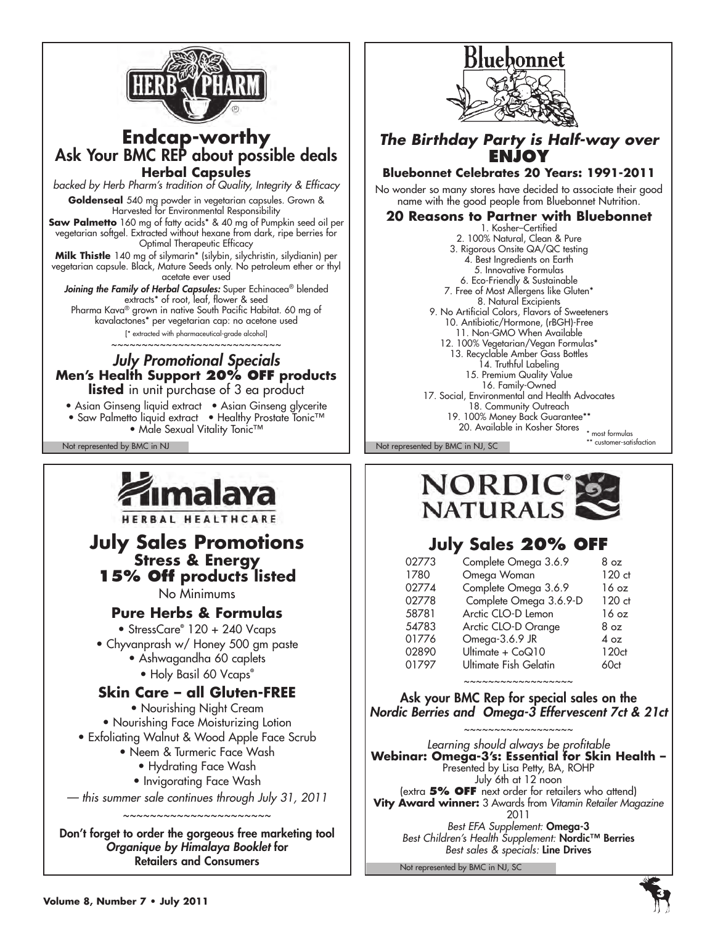

## **Endcap-worthy** Ask Your BMC REP about possible deals **Herbal Capsules**

*backed by Herb Pharm's tradition of Quality, Integrity & Efficacy* **Goldenseal** 540 mg powder in vegetarian capsules. Grown & Harvested for Environmental Responsibility

**Saw Palmetto** 160 mg of fatty acids\* & 40 mg of Pumpkin seed oil per vegetarian softgel. Extracted without hexane from dark, ripe berries for Optimal Therapeutic Efficacy

**Milk Thistle** 140 mg of silymarin\* (silybin, silychristin, silydianin) per vegetarian capsule. Black, Mature Seeds only. No petroleum ether or thyl acetate ever used

Joining the Family of Herbal Capsules: Super Echinacea<sup>®</sup> blended extracts\* of root, leaf, flower & seed Pharma Kava® grown in native South Pacific Habitat. 60 mg of

kavalactones\* per vegetarian cap: no acetone used [\* extracted with pharmaceutical-grade alcohol]

 $~\cdots~\cdots~\cdots~\cdots~\cdots~\cdots$ 

*July Promotional Specials* **Men's Health Support 20% OFF products listed** in unit purchase of 3 ea product

- Asian Ginseng liquid extract Asian Ginseng glycerite
- Saw Palmetto liquid extract Healthy Prostate Tonic™
	- Male Sexual Vitality Tonic™



HERBAL HEALTHCARE

# **July Sales Promotions Stress & Energy 15% Off products listed**

No Minimums

## **Pure Herbs & Formulas**

• StressCare**®** 120 + 240 Vcaps

- Chyvanprash w/ Honey 500 gm paste
	- Ashwagandha 60 caplets
		- Holy Basil 60 Vcaps**®**

## **Skin Care – all Gluten-FREE**

• Nourishing Night Cream • Nourishing Face Moisturizing Lotion • Exfoliating Walnut & Wood Apple Face Scrub

- Neem & Turmeric Face Wash
	- Hydrating Face Wash
	- Invigorating Face Wash
- *this summer sale continues through July 31, 2011* ~~~~~~~~~~~~~~~~~~~~~~~

Don't forget to order the gorgeous free marketing tool *Organique by Himalaya Booklet* for Retailers and Consumers



## *The Birthday Party is Half-way over*  **ENJOY**

## **Bluebonnet Celebrates 20 Years: 1991-2011**

No wonder so many stores have decided to associate their good name with the good people from Bluebonnet Nutrition.

## **20 Reasons to Partner with Bluebonnet**

1. Kosher–Certified 2. 100% Natural, Clean & Pure 3. Rigorous Onsite QA/QC testing 4. Best Ingredients on Earth 5. Innovative Formulas 6. Eco-Friendly & Sustainable 7. Free of Most Allergens like Gluten\* 8. Natural Excipients 9. No Artificial Colors, Flavors of Sweeteners 10. Antibiotic/Hormone, (rBGH)-Free 11. Non-GMO When Available 12. 100% Vegetarian/Vegan Formulas\* 13. Recyclable Amber Gass Bottles 14. Truthful Labeling 15. Premium Quality Value 16. Family-Owned 17. Social, Environmental and Health Advocates 18. Community Outreach 19. 100% Money Back Guarantee\*\* 20. Available in Kosher Stores \* most formulas

Not represented by BMC in NJ Not represented by BMC in NJ, SC



\*\* customer-satisfaction

## **July Sales 20% off**

| 02773 | Complete Omega 3.6.9   | 8 oz            |
|-------|------------------------|-----------------|
| 1780  | Omega Woman            | 120 ct          |
| 02774 | Complete Omega 3.6.9   | 16 oz           |
| 02778 | Complete Omega 3.6.9-D | 120 ct          |
| 58781 | Arctic CLO-D Lemon     | 16 oz           |
| 54783 | Arctic CLO-D Orange    | 8 <sub>oz</sub> |
| 01776 | Omega-3.6.9 JR         | 4 oz            |
| 02890 | Ultimate + CoQ10       | 120ct           |
| 01797 | Ultimate Fish Gelatin  | 60ct            |

## ~~~~~~~~~~~~~~~~~~

Ask your BMC Rep for special sales on the *Nordic Berries and Omega-3 Effervescent 7ct & 21ct*

~~~~~~~~~~~~~~~~~~ *Learning should always be profitable*  **Webinar: Omega-3's: Essential for Skin Health –**  Presented by Lisa Petty, BA, ROHP July 6th at 12 noon (extra **5% off** next order for retailers who attend) **Vity Award winner:** 3 Awards from *Vitamin Retailer Magazine*  2011 *Best EFA Supplement:* Omega-3 *Best Children's Health Supplement:* Nordic™ Berries *Best sales & specials:* Line Drives

Not represented by BMC in NJ, SC

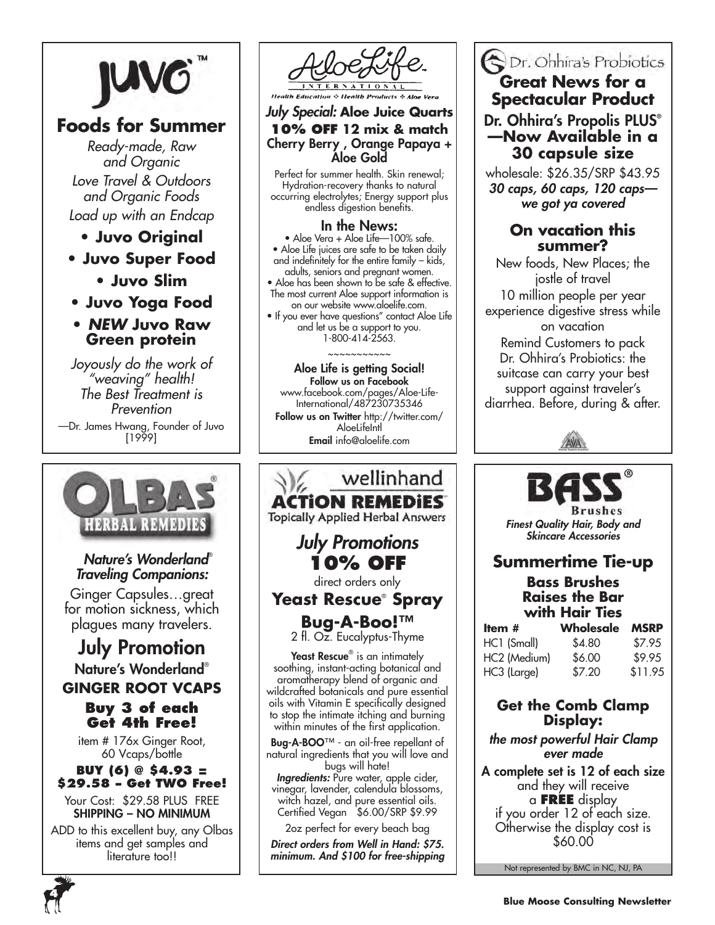

## **Foods for Summer**

*Ready-made, Raw and Organic Love Travel & Outdoors and Organic Foods Load up with an Endcap* 

- **Juvo Original**
- **Juvo Super Food**
	- **Juvo Slim**
- **Juvo Yoga Food**
- *NEW* **Juvo Raw Green protein**

*Joyously do the work of "weaving" health! The Best Treatment is Prevention* —Dr. James Hwang, Founder of Juvo [1999]



## *Nature's Wonderland*® *Traveling Companions:*

Ginger Capsules…great for motion sickness, which plagues many travelers.

## July Promotion Nature's Wonderland® **GINGER ROOT VCAPS Buy 3 of each**

# **Get 4th Free!**

item # 176x Ginger Root, 60 Vcaps/bottle

## **BUY (6) @ \$4.93 = \$29.58 – Get TWO Free!**

Your Cost: \$29.58 PLUS FREE SHIPPING – NO MINIMUM

ADD to this excellent buy, any Olbas items and get samples and literature too!!



### *July Special:* **Aloe Juice Quarts 10% off 12 mix & match** Cherry Berry , Orange Papaya + Aloe Gold

Perfect for summer health. Skin renewal; Hydration-recovery thanks to natural occurring electrolytes; Energy support plus endless digestion benefits.

### In the News:

• Aloe Vera + Aloe Life—100% safe. • Aloe Life juices are safe to be taken daily and indefinitely for the entire family – kids, adults, seniors and pregnant women.

• Aloe has been shown to be safe & effective. The most current Aloe support information is on our website www.aloelife.com.

• If you ever have questions" contact Aloe Life and let us be a support to you. 1-800-414-2563.

### Aloe Life is getting Social! Follow us on Facebook www.facebook.com/pages/Aloe-Life-

~~~~~~~~~~~

International/487230735346 Follow us on Twitter http://twitter.com/ **AloeLifeIntl** Email info@aloelife.com

## wellinhand ACTION REM **Topically Applied Herbal Answers** *July Promotions* **10% OFF** direct orders only **Yeast Rescue**®  **Spray Bug-A-Boo!™** 2 fl. Oz. Eucalyptus-Thyme Yeast Rescue® is an intimately soothing, instant-acting botanical and aromatherapy blend of organic and wildcrafted botanicals and pure essential oils with Vitamin E specifically designed to stop the intimate itching and burning within minutes of the first application. Bug-A-BOO™ - an oil-free repellant of natural ingredients that you will love and

bugs will hate! *Ingredients:* Pure water, apple cider, vinegar, lavender, calendula blossoms, witch hazel, and pure essential oils. Certified Vegan \$6.00/SRP \$9.99 2oz perfect for every beach bag

*Direct orders from Well in Hand: \$75. minimum. And \$100 for free-shipping*

## Dr. Ohhira's Probiotics **Great News for a Spectacular Product**

## Dr. Ohhira's Propolis PLUS® **—Now Available in a 30 capsule size**

wholesale: \$26.35/SRP \$43.95 *30 caps, 60 caps, 120 caps we got ya covered*

## **On vacation this summer?**

New foods, New Places; the jostle of travel

10 million people per year experience digestive stress while on vacation

Remind Customers to pack Dr. Ohhira's Probiotics: the suitcase can carry your best support against traveler's diarrhea. Before, during & after.





*Finest Quality Hair, Body and Skincare Accessories*

## **Summertime Tie-up**

## **Bass Brushes Raises the Bar with Hair Ties**

| Item #       | Wholesale | <b>MSRP</b> |
|--------------|-----------|-------------|
| HC1 (Small)  | \$4.80    | \$7.95      |
| HC2 (Medium) | \$6.00    | \$9.95      |
| HC3 (Large)  | \$7.20    | \$11.95     |

## **Get the Comb Clamp Display:**

*the most powerful Hair Clamp ever made*

A complete set is 12 of each size and they will receive a **free** display if you order 12 of each size. Otherwise the display cost is \$60.00

Not represented by BMC in NC, NJ, PA

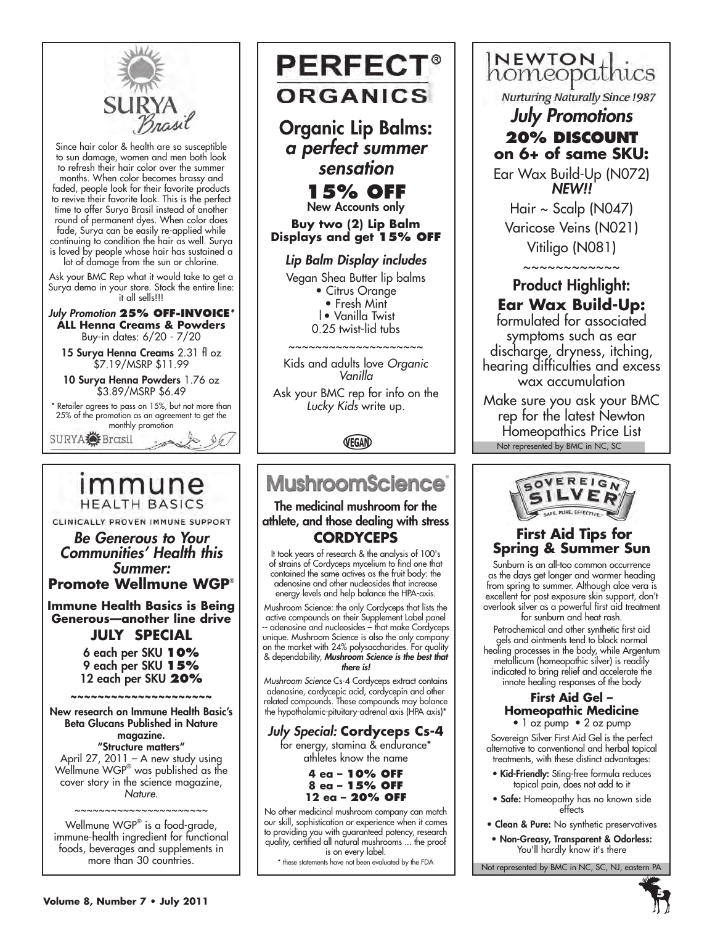

Since hair color & health are so susceptible to sun damage, women and men both look to refresh their hair color over the summer months. When color becomes brassy and faded, people look for their favorite products to revive their favorite look. This is the perfect time to offer Surya Brasil instead of another round of permanent dyes. When color does fade, Surya can be easily re-applied while continuing to condition the hair as well. Surya is loved by people whose hair has sustained a lot of damage from the sun or chlorine.

Ask your BMC Rep what it would take to get a Surya demo in your store. Stock the entire line: it all sells!!!

*July Promotion* **25% Off-Invoice***\** **ALL Henna Creams & Powders**  Buy-in dates: 6/20 - 7/20

15 Surya Henna Creams 2.31 fl oz \$7.19/MSRP \$11.99

10 Surya Henna Powders 1.76 oz \$3.89/MSRP \$6.49

\* Retailer agrees to pass on 15%, but not more than 25% of the promotion as an agreement to get the monthly promotion

 $\emptyset$ 

SURYA Brasil

## immune **HEALTH BASICS**

CLINICALLY PROVEN IMMUNE SUPPORT

*Be Generous to Your Communities' Health this Summer:*  **Promote Wellmune WGP**®

**Immune Health Basics is Being Generous—another line drive**

**July Special** 6 each per SKU **10%** 9 each per SKU **15%** 12 each per SKU **20%**

~~~~~~~~~~~~~~~~~ New research on Immune Health Basic's Beta Glucans Published in Nature magazine. "Structure matters" April 27, 2011 – A new study using

Wellmune WGP® was published as the cover story in the science magazine, *Nature*.

~~~~~~~~~~~~~~~~~~~~ Wellmune WGP® is a food-grade, immune-health ingredient for functional foods, beverages and supplements in more than 30 countries.



**Buy two (2) Lip Balm Displays and get 15% OFF**

### *Lip Balm Display includes*

Vegan Shea Butter lip balms

- Citrus Orange
- Fresh Mint
- |• Vanilla Twist
- 0.25 twist-lid tubs

~~~~~~~~~~~~~~~~~~~~

Kids and adults love *Organic Vanilla* 

Ask your BMC rep for info on the *Lucky Kids* write up.

VEGAN

# **MushroomScience**

The medicinal mushroom for the athlete, and those dealing with stress **Cordyceps**

It took years of research & the analysis of 100's of strains of Cordyceps mycelium to find one that contained the same actives as the fruit body: the adenosine and other nucleosides that increase energy levels and help balance the HPA-axis.

Mushroom Science: the only Cordyceps that lists the active compounds on their Supplement Label panel -- adenosine and nucleosides – that make Cordyceps unique. Mushroom Science is also the only company on the market with 24% polysaccharides. For quality & dependability, *Mushroom Science is the best that there is!*

*Mushroom Science* Cs-4 Cordyceps extract contains adenosine, cordycepic acid, cordycepin and other related compounds. These compounds may balance the hypothalamic-pituitary-adrenal axis (HPA axis)\*

## *July Special:* **Cordyceps Cs-4**

for energy, stamina & endurance\* athletes know the name

> **4 ea – 10% OFF 8 ea – 15% OFF 12 ea – 20% OFF**

No other medicinal mushroom company can match our skill, sophistication or experience when it comes to providing you with guaranteed potency, research quality, certified all natural mushrooms ... the proof is on every label.

\* these statements have not been evaluated by the FDA

INEWTON thics

**Nurturing Naturally Since 1987** 

*July Promotions*  20% DISCOUNT **on 6+ of same SKU:**

Ear Wax Build-Up (N072) *NEW!!*

Hair  $\sim$  Scalp (N047) Varicose Veins (N021) Vitiligo (N081)

 $\sim\sim\sim\sim\sim\sim\sim\sim\sim\sim$ 

## Product Highlight: **Ear Wax Build-Up:**

formulated for associated symptoms such as ear discharge, dryness, itching, hearing difficulties and excess wax accumulation

Not represented by BMC in NC, SC Make sure you ask your BMC rep for the latest Newton Homeopathics Price List



## **First Aid Tips for Spring & Summer Sun**

Sunburn is an all-too common occurrence as the days get longer and warmer heading from spring to summer. Although aloe vera is excellent for post exposure skin support, don't overlook silver as a powerful first aid treatment for sunburn and heat rash.

Petrochemical and other synthetic first aid gels and ointments tend to block normal healing processes in the body, while Argentum metallicum (homeopathic silver) is readily indicated to bring relief and accelerate the innate healing responses of the body

### **First Aid Gel – Homeopathic Medicine**

• 1 oz pump • 2 oz pump Sovereign Silver First Aid Gel is the perfect alternative to conventional and herbal topical treatments, with these distinct advantages:

- Kid-Friendly: Sting-free formula reduces topical pain, does not add to it
- Safe: Homeopathy has no known side effects
- Clean & Pure: No synthetic preservatives
- Non-Greasy, Transparent & Odorless: You'll hardly know it's there

Not represented by BMC in NC, SC, NJ, eastern PA



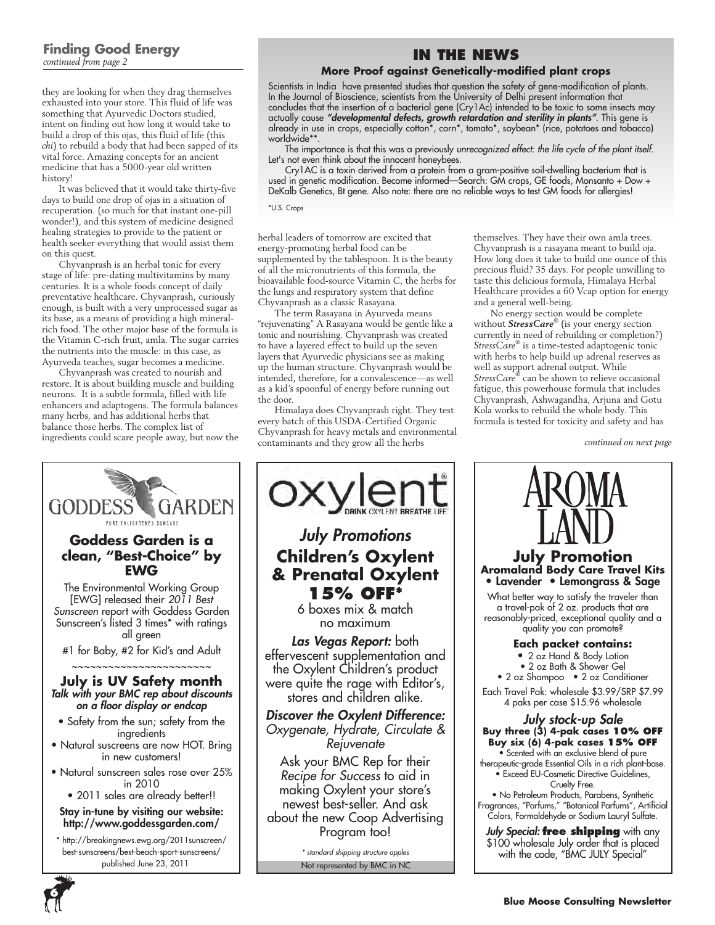### **Finding Good Energy** *continued from page 2*

they are looking for when they drag themselves exhausted into your store. This fluid of life was something that Ayurvedic Doctors studied, intent on finding out how long it would take to build a drop of this ojas, this fluid of life (this *chi*) to rebuild a body that had been sapped of its vital force. Amazing concepts for an ancient medicine that has a 5000-year old written history!

It was believed that it would take thirty-five days to build one drop of ojas in a situation of recuperation. (so much for that instant one-pill wonder!), and this system of medicine designed healing strategies to provide to the patient or health seeker everything that would assist them on this quest.

Chyvanprash is an herbal tonic for every stage of life: pre-dating multivitamins by many centuries. It is a whole foods concept of daily preventative healthcare. Chyvanprash, curiously enough, is built with a very unprocessed sugar as its base, as a means of providing a high mineralrich food. The other major base of the formula is the Vitamin C-rich fruit, amla. The sugar carries the nutrients into the muscle: in this case, as Ayurveda teaches, sugar becomes a medicine.

Chyvanprash was created to nourish and restore. It is about building muscle and building neurons. It is a subtle formula, filled with life enhancers and adaptogens. The formula balances many herbs, and has additional herbs that balance those herbs. The complex list of ingredients could scare people away, but now the

## **In the News**

### **More Proof against Genetically-modified plant crops**

Scientists in India have presented studies that question the safety of gene-modification of plants. In the Journal of Bioscience, scientists from the University of Delhi present information that concludes that the insertion of a bacterial gene (Cry1Ac) intended to be toxic to some insects may actually cause *"developmental defects, growth retardation and sterility in plants"*. This gene is already in use in crops, especially cotton\*, corn\*, tomato\*, soybean\* (rice, potatoes and tobacco) worldwide\*\*.

The importance is that this was a previously *unrecognized effect: the life cycle of the plant itself.*  Let's not even think about the innocent honeybees.

Cry1AC is a toxin derived from a protein from a gram-positive soil-dwelling bacterium that is used in genetic modification. Become informed—Search: GM crops, GE foods, Monsanto + Dow + DeKalb Genetics, Bt gene. Also note: there are no reliable ways to test GM foods for allergies!

\*U.S. Crops

herbal leaders of tomorrow are excited that energy-promoting herbal food can be supplemented by the tablespoon. It is the beauty of all the micronutrients of this formula, the bioavailable food-source Vitamin C, the herbs for the lungs and respiratory system that define Chyvanprash as a classic Rasayana.

The term Rasayana in Ayurveda means "rejuvenating" A Rasayana would be gentle like a tonic and nourishing. Chyvanprash was created to have a layered effect to build up the seven layers that Ayurvedic physicians see as making up the human structure. Chyvanprash would be intended, therefore, for a convalescence—as well as a kid's spoonful of energy before running out the door.

Himalaya does Chyvanprash right. They test every batch of this USDA-Certified Organic Chyvanprash for heavy metals and environmental contaminants and they grow all the herbs

themselves. They have their own amla trees. Chyvanprash is a rasayana meant to build oja. How long does it take to build one ounce of this precious fluid? 35 days. For people unwilling to taste this delicious formula, Himalaya Herbal Healthcare provides a 60 Vcap option for energy and a general well-being.

No energy section would be complete without *StressCare*® (is your energy section currently in need of rebuilding or completion?) *StressCare*® is a time-tested adaptogenic tonic with herbs to help build up adrenal reserves as well as support adrenal output. While *StressCare*® can be shown to relieve occasional fatigue, this powerhouse formula that includes Chyvanprash, Ashwagandha, Arjuna and Gotu Kola works to rebuild the whole body. This formula is tested for toxicity and safety and has

*continued on next page*



*July Promotions* **Children's Oxylent & Prenatal Oxylent 15% OFF\*** 

6 boxes mix & match no maximum

*Las Vegas Report:* both effervescent supplementation and the Oxylent Children's product were quite the rage with Editor's, stores and children alike.

*Discover the Oxylent Difference: Oxygenate, Hydrate, Circulate & Rejuvenate*

Ask your BMC Rep for their *Recipe for Success* to aid in making Oxylent your store's newest best-seller. And ask about the new Coop Advertising Program too!

*\* standard shipping structure apples*



\$100 wholesale July order that is placed with the code, "BMC JULY Special"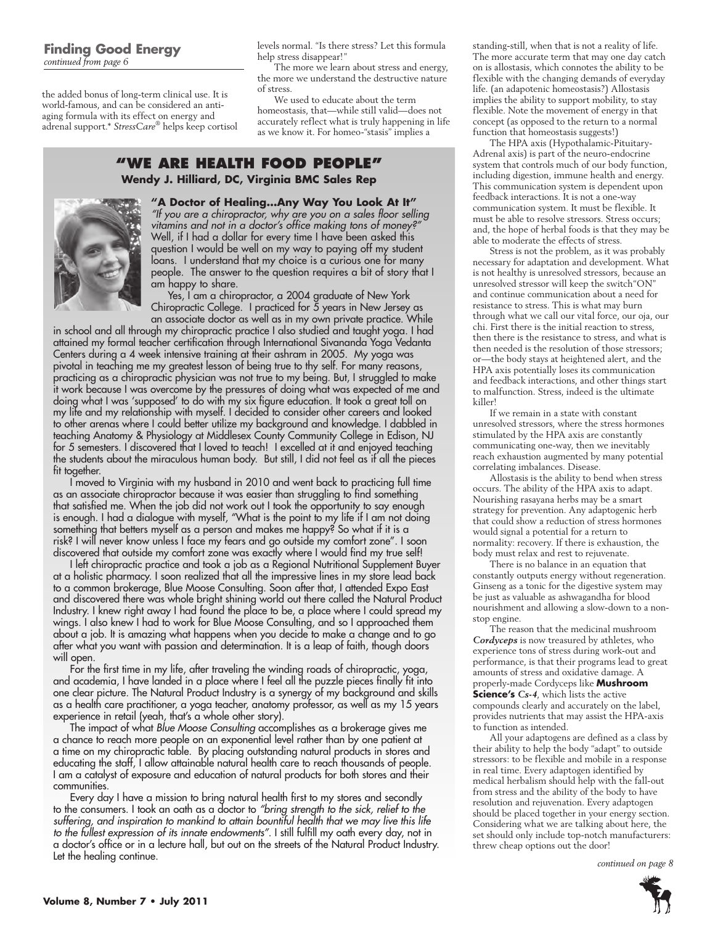the added bonus of long-term clinical use. It is world-famous, and can be considered an antiaging formula with its effect on energy and adrenal support.\* *StressCare*® helps keep cortisol

levels normal. "Is there stress? Let this formula help stress disappear!"

The more we learn about stress and energy, the more we understand the destructive nature of stress.

We used to educate about the term homeostasis, that—while still valid—does not accurately reflect what is truly happening in life as we know it. For homeo-"stasis" implies a

### **"We Are health food people" Wendy J. Hilliard, DC, Virginia BMC Sales Rep**



**"A Doctor of Healing…Any Way You Look At It"** *"If you are a chiropractor, why are you on a sales floor selling vitamins and not in a doctor's office making tons of money?"*  Well, if I had a dollar for every time I have been asked this question I would be well on my way to paying off my student loans. I understand that my choice is a curious one for many people. The answer to the question requires a bit of story that I am happy to share.

Yes, I am a chiropractor, a 2004 graduate of New York Chiropractic College. I practiced for 5 years in New Jersey as an associate doctor as well as in my own private practice. While

in school and all through my chiropractic practice I also studied and taught yoga. I had attained my formal teacher certification through International Sivananda Yoga Vedanta Centers during a 4 week intensive training at their ashram in 2005. My yoga was pivotal in teaching me my greatest lesson of being true to thy self. For many reasons, practicing as a chiropractic physician was not true to my being. But, I struggled to make it work because I was overcome by the pressures of doing what was expected of me and doing what I was 'supposed' to do with my six figure education. It took a great toll on my life and my relationship with myself. I decided to consider other careers and looked to other arenas where I could better utilize my background and knowledge. I dabbled in teaching Anatomy & Physiology at Middlesex County Community College in Edison, NJ for 5 semesters. I discovered that I loved to teach! I excelled at it and enjoyed teaching the students about the miraculous human body. But still, I did not feel as if all the pieces fit together.

I moved to Virginia with my husband in 2010 and went back to practicing full time as an associate chiropractor because it was easier than struggling to find something that satisfied me. When the job did not work out I took the opportunity to say enough is enough. I had a dialogue with myself, "What is the point to my life if I am not doing something that betters myself as a person and makes me happy? So what if it is a risk? I will never know unless I face my fears and go outside my comfort zone". I soon discovered that outside my comfort zone was exactly where I would find my true self!

I left chiropractic practice and took a job as a Regional Nutritional Supplement Buyer at a holistic pharmacy. I soon realized that all the impressive lines in my store lead back to a common brokerage, Blue Moose Consulting. Soon after that, I attended Expo East and discovered there was whole bright shining world out there called the Natural Product Industry. I knew right away I had found the place to be, a place where I could spread my wings. I also knew I had to work for Blue Moose Consulting, and so I approached them about a job. It is amazing what happens when you decide to make a change and to go after what you want with passion and determination. It is a leap of faith, though doors will open.

For the first time in my life, after traveling the winding roads of chiropractic, yoga, and academia, I have landed in a place where I feel all the puzzle pieces finally fit into one clear picture. The Natural Product Industry is a synergy of my background and skills as a health care practitioner, a yoga teacher, anatomy professor, as well as my 15 years experience in retail (yeah, that's a whole other story).

The impact of what *Blue Moose Consulting* accomplishes as a brokerage gives me a chance to reach more people on an exponential level rather than by one patient at a time on my chiropractic table. By placing outstanding natural products in stores and educating the staff, I allow attainable natural health care to reach thousands of people. I am a catalyst of exposure and education of natural products for both stores and their communities.

Every day I have a mission to bring natural health first to my stores and secondly to the consumers. I took an oath as a doctor to *"bring strength to the sick, relief to the*  suffering, and inspiration to mankind to attain bountiful health that we may live this life *to the fullest expression of its innate endowments"*. I still fulfill my oath every day, not in a doctor's office or in a lecture hall, but out on the streets of the Natural Product Industry. Let the healing continue.

standing-still, when that is not a reality of life. The more accurate term that may one day catch on is allostasis, which connotes the ability to be flexible with the changing demands of everyday life. (an adapotenic homeostasis?) Allostasis implies the ability to support mobility, to stay flexible. Note the movement of energy in that concept (as opposed to the return to a normal function that homeostasis suggests!)

The HPA axis (Hypothalamic-Pituitary-Adrenal axis) is part of the neuro-endocrine system that controls much of our body function, including digestion, immune health and energy. This communication system is dependent upon feedback interactions. It is not a one-way communication system. It must be flexible. It must be able to resolve stressors. Stress occurs; and, the hope of herbal foods is that they may be able to moderate the effects of stress.

Stress is not the problem, as it was probably necessary for adaptation and development. What is not healthy is unresolved stressors, because an unresolved stressor will keep the switch"ON" and continue communication about a need for resistance to stress. This is what may burn through what we call our vital force, our oja, our chi. First there is the initial reaction to stress, then there is the resistance to stress, and what is then needed is the resolution of those stressors; or—the body stays at heightened alert, and the HPA axis potentially loses its communication and feedback interactions, and other things start to malfunction. Stress, indeed is the ultimate killer!

If we remain in a state with constant unresolved stressors, where the stress hormones stimulated by the HPA axis are constantly communicating one-way, then we inevitably reach exhaustion augmented by many potential correlating imbalances. Disease.

Allostasis is the ability to bend when stress occurs. The ability of the HPA axis to adapt. Nourishing rasayana herbs may be a smart strategy for prevention. Any adaptogenic herb that could show a reduction of stress hormones would signal a potential for a return to normality: recovery. If there is exhaustion, the body must relax and rest to rejuvenate.

There is no balance in an equation that constantly outputs energy without regeneration. Ginseng as a tonic for the digestive system may be just as valuable as ashwagandha for blood nourishment and allowing a slow-down to a nonstop engine.

The reason that the medicinal mushroom *Cordyceps* is now treasured by athletes, who experience tons of stress during work-out and performance, is that their programs lead to great amounts of stress and oxidative damage. A properly-made Cordyceps like **Mushroom Science's** *Cs-4*, which lists the active compounds clearly and accurately on the label, provides nutrients that may assist the HPA-axis to function as intended.

All your adaptogens are defined as a class by their ability to help the body "adapt" to outside stressors: to be flexible and mobile in a response in real time. Every adaptogen identified by medical herbalism should help with the fall-out from stress and the ability of the body to have resolution and rejuvenation. Every adaptogen should be placed together in your energy section. Considering what we are talking about here, the set should only include top-notch manufacturers: threw cheap options out the door!

*continued on page 8*